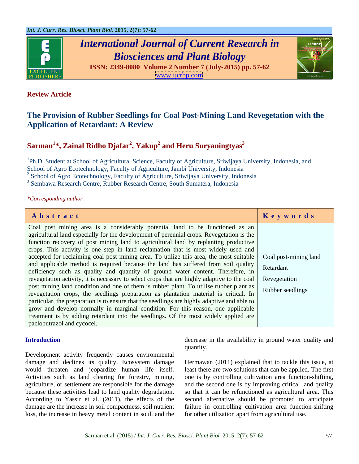

## *International Journal of Current Research in Biosciences and Plant Biology*





### **Review Article**

### **The Provision of Rubber Seedlings for Coal Post-Mining Land Revegetation with the Application of Retardant: A Review**

## **Sarman<sup>1</sup> \*, Zainal Ridho Djafar<sup>2</sup> , Yakup<sup>2</sup> and Heru Suryaningtyas<sup>3</sup>**

**<sup>1</sup>**Ph.D. Student at School of Agricultural Science, Faculty of Agriculture, Sriwijaya University, Indonesia, and School of Agro Ecotechnology, Faculty of Agriculture, Jambi University, Indonesia  $2^2$  School of Agro Ecotechnology, Faculty of Agriculture, Sriwijaya University, Indonesia

<sup>3</sup> Sembawa Research Centre, Rubber Research Centre, South Sumatera, Indonesia

*\*Corresponding author.*

| Abstract                                                                                                       | Keywords |
|----------------------------------------------------------------------------------------------------------------|----------|
| Coal post mining area is a considerably potential land to be functioned as an                                  |          |
| agricultural land especially for the development of perennial crops. Revegetation is the                       |          |
| function recovery of post mining land to agricultural land by replanting productive                            |          |
| crops. This activity is one step in land reclamation that is most widely used and                              |          |
| accepted for reclaiming coal post mining area. To utilize this area, the most suitable   Coal post-mining land |          |
| and applicable method is required because the land has suffered from soil quality Retardant                    |          |
| deficiency such as quality and quantity of ground water content. Therefore, in                                 |          |
| revegetation activity, it is necessary to select crops that are highly adaptive to the coal   Revegetation     |          |
| post mining land condition and one of them is rubber plant. To utilise rubber plant as Rubber seedlings        |          |
| revegetation crops, the seedlings preparation as plantation material is critical. In                           |          |
| particular, the preparation is to ensure that the seedlings are highly adaptive and able to                    |          |
| grow and develop normally in marginal condition. For this reason, one applicable                               |          |
| treatment is by adding retardant into the seedlings. Of the most widely applied are                            |          |
| paclobutrazol and cycocel.                                                                                     |          |

Development activity frequently causes environmental damage and declines its quality. Ecosystem damage Hermawan (2011) explained that to tackle this issue, at would threaten and jeopardize human life itself. least there are two solutions that can be applied. The first Activities such as land clearing for forestry, mining, agriculture, or settlement are responsible for the damage and the second one is by improving critical land quality because these activities lead to land quality degradation. so that it can be refunctioned as agricultural area. This According to Yassir et al. (2011), the effects of the second alternative should be promoted to anticipate damage are the increase in soil compactness, soil nutrient failure in controlling cultivation area function-shifting loss, the increase in heavy metal content in soul, and the

**Introduction** decrease in the availability in ground water quality and quantity.

> one is by controlling cultivation area function-shifting, for other utilization apart from agricultural use.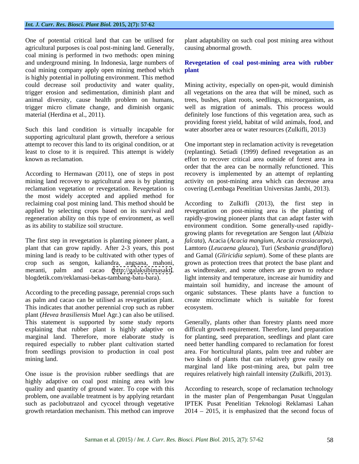One of potential critical land that can be utilised for plant adaptability on such coal post mining area without agricultural purposes is coal post-mining land. Generally, coal mining is performed in two methods: open mining and underground mining. In Indonesia, large numbers of **Revegetation of coal post-mining area with rubber**  coal mining company apply open mining method which plant is highly potential in polluting environment. This method

Such this land condition is virtually incapable for supporting agricultural plant growth, therefore a serious

According to Hermawan (2011), one of steps in post recovery is implemented by an attempt of replanting mining land recovery to agricultural area is by planting reclamation vegetation or revegetation. Revegetation is the most widely accepted and applied method for regeneration ability on this type of environment, as well

crop such as sengon, kaliandra, angsana, mahoni,

According to the preceding passage, perennial crops such as palm and cacao can be utilised as revegetation plant. This indicates that another perennial crop such as rubber ecosystem. plant (*Hevea brasiliensis* Muel Agr.) can also be utilised. This statement is supported by some study reports Generally, plants other than forestry plants need more explaining that rubber plant is highly adaptive on difficult growth requirement. Therefore, land preparation marginal land. Therefore, more elaborate study is required especially to rubber plant cultivation started need better handling compared to reclamation for forest from seedlings provision to production in coal post area. For horticultural plants, palm tree and rubber are mining land. two kinds of plants that can relatively grow easily on

One issue is the provision rubber seedlings that are highly adaptive on coal post mining area with low quality and quantity of ground water. To cope with this According to research, scope of reclamation technology problem, one available treatment is by applying retardant in the master plan of Pengembangan Pusat Unggulan such as paclobutrazol and cycocel through vegetative IPTEK Pusat Penelitian Teknologi Reklamasi Lahan

causing abnormal growth.

# **plant**

could decrease soil productivity and water quality, Mining activity, especially on open-pit, would diminish trigger erosion and sedimentation, diminish plant and all vegetations on the area that will be mined, such as animal diversity, cause health problem on humans, trees, bushes, plant roots, seedlings, microorganism, as trigger micro climate change, and diminish organic well as migration of animals. This process would material (Herdina et al., 2011). definitely lose functions of this vegetation area, such as providing forest yield, habitat of wild animals, food, and water absorber area or water resources (Zulkifli, 2013)

attempt to recover this land to its original condition, or at One important step in reclamation activity is revegetation least to close to it is required.This attempt is widely (replanting). Setiadi (1999) defined revegetation as an known as reclamation. effort to recover critical area outside of forest area in order that the area can be normally refunctioned. This activity on post-mining area which can decrease area covering (Lembaga Penelitian Universitas Jambi, 2013).

reclaiming coal post mining land. This method should be According to Zulkifli (2013), the first step in applied by selecting crops based on its survival and revegetation on post-mining area is the planting of as its ability to stabilize soil structure. environment condition. Some generally-used rapidly- The first step in revegetation is planting pioneer plant, a *falcata*), Acacia (*Acacia mangium, Acacia crassiacarpa*), plant that can grow rapidly. After 2-3 years, this post Lamtoro (*Leucaena glauca*), Turi (*Sesbania grandiflora*) mining land is ready to be cultivated with other types of and Gamal (*Gliricidia sepium*). Some of these plants are meranti, palm and cacao [\(http://galaksibimasakti](http://galaksibimasakti). as windbreaker, and some others are grown to reduce blogdetik.com/reklamasi-bekas-tambang-batu-bara). light intensity and temperature, increase air humidity and as palm and cacao can be utilised as revegetation plant. create microclimate which is suitable for forest rapidly-growing pioneer plants that can adapt faster with growing plants for revegetation are Sengon laut (*Albizia*  grown as protection trees that protect the base plant and maintain soil humidity, and increase the amount of organic substances. These plants have a function to ecosystem.

> for planting, seed preparation, seedlings and plant care marginal land like post-mining area, but palm tree requires relatively high rainfall intensity (Zulkifli, 2013).

growth retardation mechanism. This method can improve 2014 2015, it is emphasized that the second focus of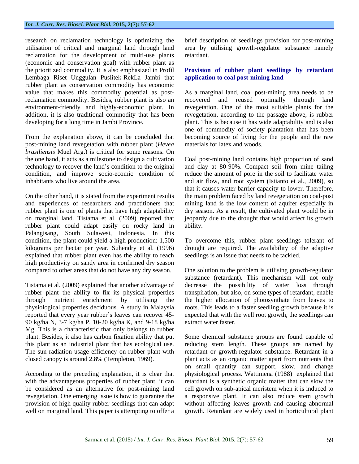research on reclamation technology is optimizing the brief description of seedlings provision for post-mining utilisation of critical and marginal land through land area by utilising growth-regulator substance namely reclamation for the development of multi-use plants (economic and conservation goal) with rubber plant as the prioritized commodity. It is also emphasized in Profil **Provision of rubber plant seedlings by retardant**  Lembaga Riset Unggulan Puslitek-RekLa Jambi that rubber plant as conservation commodity has economic reclamation commodity. Besides, rubber plant is also an recovered and reused optimally through land

post-mining land revegetation with rubber plant (*Hevea brasiliensis* Muel Arg.) is critical for some reasons. On

rubber plant could adapt easily on rocky land in Palangisang, South Sulawesi, Indonesia. In this condition, the plant could yield a high production: 1,500 To overcome this, rubber plant seedlings tolerant of kilograms per hectar per year. Suhendry et al. (1996) drought are required. The availability of the adaptive explained that rubber plant even has the ability to reach high productivity on sandy area in confirmed dry season

90 kg/ha N, 3-7 kg/ha P, 10-20 kg/ha K, and 9-18 kg/ha Mg. This is a characteristic that only belongs to rubber

According to the preceding explanation, it is clear that well on marginal land. This paper is attempting to offer a retardant.

# **application to coal post-mining land**

value that makes this commodity potential as post-As a marginal land, coal post-mining area needs to be environment-friendly and highly-economic plant. In revegetation. One of the most suitable plants for the addition, it is also traditional commodity that has been revegetation, according to the passage above, is rubber developing for a long time in Jambi Province. plant. This is because it has wide adaptability and is also From the explanation above, it can be concluded that becoming source of living for the people and the raw recovered and reused optimally through land one of commodity of society plantation that has been materials for latex and woods.

the one hand, it acts as a milestone to design a cultivation Coal post-mining land contains high proportion of sand technology to recover the land's condition to the original and clay at 80-90%. Compact soil from mine tailing condition, and improve socio-ecomic condition of reduce the amount of pore in the soil to facilitate water inhabitants who live around the area. and air flow, and root system (Istianto et al., 2009), so On the other hand, it is stated from the experiment results the main problem faced by land revegetation on coal-post and experiences of researchers and practitioners that mining land is the low content of aquifer especially in rubber plant is one of plants that have high adaptability dry season. As a result, the cultivated plant would be in on marginal land. Tistama et al. (2009) reported that jeopardy due to the drought that would affect its growth that it causes water barrier capacity to lower. Therefore, ability.

seedlings is an issue that needs to be tackled.

compared to other areas that do not have any dry season. One solution to the problem is utilising growth-regulator Tistama et al. (2009) explained that another advantage of decrease the possibility of water loss through rubber plant the ability to fix its physical properties transpiration, but also, on some types of retardant, enable through nutrient enrichment by utilising the the higher allocation of photosynthate from leaves to physiological properties deciduous. A study in Malaysia roots. This leads to a faster seedling growth because it is reported that every year rubber's leaves can recover 45- expected that with the well root growth, the seedlings can substance (retardant). This mechanism will not only extract water faster.

plant. Besides, it also has carbon fixation ability that put Some chemical substance groups are found capable of this plant as an industrial plant that has ecological use. reducing stem length. These groups are named by The sun radiation usage efficiency on rubber plant with retardant or growth-regulator substance. Retardant in a closed canopy is around 2.8% (Templeton, 1969). plant acts as an organic matter apart from nutrients that with the advantageous properties of rubber plant, it can retardant is a synthetic organic matter that can slow the be considered as an alternative for post-mining land cell growth on sub-apical meristem when it is induced to revegetation. One emerging issue is how to guarantee the a responsive plant. It can also reduce stem growth provision of high quality rubber seedlings that can adapt without affecting leaves growth and causing abnormal on small quantity can support, slow, and change physiological process. Wattimena (1988) explained that growth. Retardant are widely used in horticultural plant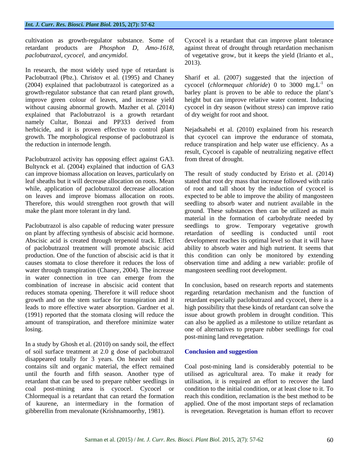cultivation as growth-regulator substance. Some of

In research, the most widely used type of retardant is explained that Paclobutrazol is a growth retardant namely Cultar, Bonzai and PP333 derived from herbicide, and it is proven effective to control plant Nejadsahebi et al. (2010) explained from his research growth. The morphological response of paclobutrazol is that cycocel can improve the endurance of stomata,

Paclobutrazol activity has opposing effect against GA3. Bultynck et al. (2004) explained that induction of GA3

Abscisic acid is created through terpenoid track. Effect water through transpiration (Chaney, 2004). The increase in water connection in tree can emerge from the combination of increase in abscisic acid content that In conclusion, based on research reports and statements reduces stomata opening. Therefore it will reduce shoot regarding retardation mechanism and the function of growth and on the stem surface for transpiration and it retardant especially paclobutrazol and cycocel, there is a leads to more effective water absorption. Gardner et al. high possibility that these kinds of retardant can solve the (1991) reported that the stomata closing will reduce the issue about growth problem in drought condition. This amount of transpiration, and therefore minimize water can also be applied as a milestone to utilize retardant as losing. one of alternatives to prepare rubber seedlings for coal

In a study by Ghosh et al. (2010) on sandy soil, the effect of soil surface treatment at 2.0 g dose of paclobutrazol disappeared totally for 3 years. On heavier soil that contains silt and organic material, the effect remained Coal post-mining land is considerably potential to be until the fourth and fifth season. Another type of utilised as agricultural area. To make it ready for retardant that can be used to prepare rubber seedlings in utilisation, it is required an effort to recover the land coal post-mining area is cycocel. Cycocel or Chlormequal is a retardant that can retard the formation of kaurene, an intermediary in the formation of applied. One of the most important steps of reclamation

retardant products are *Phosphon D, Amo-1618,*  against threat of drought through retardation mechanism *paclobutrazol, cycocel,* and *ancymidol.* of vegetative grow, but it keeps the yield (Irianto et al., Cycocel is a retardant that can improve plant tolerance 2013).

Paclobutraol (Pbz.). Christov et al. (1995) and Chaney Sharif et al. (2007) suggested that the injection of (2004) explained that paclobutrazol is categorized as a cycocel (*chlormequat chloride*)0 to 3000 mg.L growth-regulator substance that can retard plant growth, barley plant is proven to be able to reduce the plant's improve green colour of leaves, and increase yield height but can improve relative water content. Inducing without causing abnormal growth. Mazher et al. (2014) cycocel in dry season (without stress) can improve ratio  $-1$  on on of dry weight for root and shoot.

the reduction in internode length. reduce transpiration and help water use efficiency. As a result, Cycocel is capable of neutralizing negative effect from threat of drought.

can improve biomass allocation on leaves, particularly on The result of study conducted by Eristo et al. (2014) leaf sheaths but it will decrease allocation on roots. Mean stated that root dry mass that increase followed with ratio while, application of paclobutrazol decrease allocation of root and tall shoot by the induction of cycocel is on leaves and improve biomass allocation on roots. expected to beable to improve the ability of mangosteen Therefore, this would strengthen root growth that will seedling to absorb water and nutrient available in the make the plant more tolerant in dry land. These substances then can be utilized as main Paclobutrazol is also capable of reducing water pressure seedlings to grow. Temporary vegetative growth on plant by affecting synthesis of abscisic acid hormone. retardation of seedling is conducted until root of paclobutrazol treatment will promote abscisic acid ability to absorb water and high nutrient. It seems that production. One of the function of abscisic acid is that it this condition can only be monitored by extending causes stomata to close therefore it reduces the loss of observation time and adding a new variable: profile of material in the formation of carbohydrate needed by development reaches its optimal level so that it will have mangosteen seedling root development.

post-mining land revegetation.

### **Conclusion and suggestion**

gibberellin from mevalonate (Krishnamoorthy, 1981). is revegetation. Revegetation is human effort to recovercondition to the initial condition, or at least close to it.To reach this condition, reclamation is the best method to be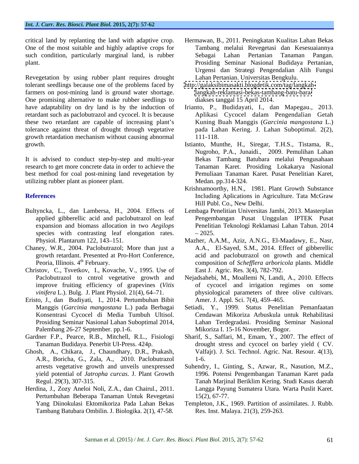critical land by replanting the land with adaptive crop. One of the most suitable and highly adaptive crops for such condition, particularly marginal land, is rubber Sebagai Lahan Pertanian Tanaman Pangan.

Revegetation by using rubber plant requires drought tolerant seedlings because one of the problems faced by farmers on post-mining land is ground water shortage. One promising alternative to make rubber seedlings to have adaptability on dry land is by the induction of Irianto, P., Budidayati, I., dan Mapegau., 2013. retardant such as paclobutrazol and cycocel. It is because these two retardant are capable of increasing plant's Kuning Buah Manggis (*Garcinia mangostana* L.) tolerance against threat of drought through vegetative growth retardation mechanism without causing abnormal Calinetic discussion and the internal of the state of the state of the state of the state of the state of the state of the state of the state of the state of the state of the state of the state of the state of the state o

It is advised to conduct step-by-step and multi-year research to get more concrete data in order to achieve the best method for coal post-mining land revegetation by utilizing rubber plant as pioneer plant.

- Bultyncka, L., dan Lambersa, H., 2004. Effects of species with contrasting leaf elongation rates.  $-2025$ .
- Chaney, W.R., 2004. Paclobutrazol; More than just a
- Christov, C., Tsvetkov, I., Kovache, V., 1995. Use of Paclobutrazol to cntrol vegetative growth and
- Eristo, J., dan Budiyati, I., 2014. Pertumbuhan Bibit Palembang 26-27 September. pp.1-6.
- Tanaman Budidaya. Penerbit UI-Press. 424p. Ghosh, A., Chikara, J., Chaundhary, D.R., Prakash,
- A.R., Boricha, G., Zala, A., 2010. Paclobutrazol
- Herdina, J., Zozy Aneloi Noli, Z.A., dan Chairul., 2011. Pertumbuhan Beberapa Tanaman Untuk Revegetasi
- plant. Prosiding Seminar Nasional Budidaya Pertanian, Tambang melalui Revegetasi dan Kesesuaiannya Sebagai Lahan Pertanian Tanaman Pangan. Urgensi dan Strategi Pengendalian Alih Fungsi Lahan Pertanian. Universitas Bengkulu.
	- [http://galaksibimasakti.blogdetik.com/tag/langkah](http://galaksibimasakti.blogdetik.com/tag/langkah-)<langkah-reklamasi-bekas-tambang-batu-bara/> diakses tanggal 15 April 2014.
	- Aplikasi Cycocel dalam Pengendalian Getah pada Lahan Kering. J. Lahan Suboptimal. 2(2), 111-118.
- growth. Istianto, Munthe, H., Siregar, T.H.S., Tistama, R., Nugroho, P.A., Junaidi., 2009. Pemulihan Lahan Bekas Tambang Batubara melalui Pengusahaan Tanaman Karet. Prosiding Lokakarya Nasional Pemuliaan Tanaman Karet. Pusat Penelitian Karet, Medan. pp.314-324.
- **References** Including Aplications in Agriculture. Tata McGraw Krishnamoorthy, H.N., 1981. Plant Growth Substance Hill Publ. Co., New Delhi.
	- applied gibberellic acid and paclobutrazol on leaf Pengembangan Pusat Unggulan IPTEK Pusat expansion and biomass allocation in two *Aegilops* Penelitian Teknologi Reklamasi Lahan Tahun. 2014 Lembaga Penelitian Universitas Jambi, 2013. Masterplan 2025.
	- Physiol. Plantarum 122, 143–151. Mazher, A.A.M., Aziz, A.N.G., El-Maadawy, E., Nasr, growth retardant. Presented at Pro-Hort Conference, acid and paclobutrazol on growth and chemical<br>Peoria, Illinois. 4<sup>th</sup> February. The example of *Schefflera arboricola* plants. Middle <sup>th</sup> February. The composition of *Schefflera arboricola* plants. Middle A.A., El-Sayed, S.M., 2014. Effect of gibberellic acid and paclobutrazol on growth and chemical East J. Agric. Res. 3(4), 782-792.
	- improve fruiting efficiency of grapevines (*Vitis*  of cycocel and irrigation regimes on some *vinifera* L.). Bulg. J. Plant Physiol. 21(4), 64–71. **physiological parameters of three olive cultivars.** Nejadsahebi, M., Moallemi N, Landi, A., 2010. Effects Amer. J. Appl. Sci. 7(4), 459–465.
	- Manggis (*Garcinia mangostana* L.) pada Berbagai Setiadi, Y., 1999. Status Penelitian Pemanfaatan Konsentrasi Cycocel di Media Tumbuh Ultisol. Cendawan Mikoriza Arbuskula untuk Rehabilitasi Prosiding Seminar Nasional Lahan Suboptimal 2014, Lahan Terdegradasi. Prosiding Seminar Nasional Mikoriza I. 15-16 November, Bogor.
- Gardner F.P., Pearce, R.B., Mitchell, R.L., Fisiologi Sharif, S., Saffari, M., Emam, Y., 2007. The effect of drought stress and cycocel on barley yield ( CV. Valfajr). J. Sci. Technol. Agric. Nat. Resour*.* 4(13), 1-6.
	- arrests vegetative growth and unveils unexpressed Suhendry, I., Ginting, S., Azwar, R., Nasution, M.Z., yield potential of *Jatropha curcas*. J. Plant Growth 1996. Potensi Pengembangan Tanaman Karet pada Regul. 29(3), 307-315. Tanah Marjinal Beriklim Kering. Studi Kasus daerah Langga Payung Sumatera Utara. Warta Puslit Karet. 15(2), 67-77.
	- Yang Diinokulasi Ektomikoriza Pada Lahan Bekas Templeton, J.K., 1969. Partition of assimilates. J. Rubb. Res. Inst. Malaya. 21(3), 259-263.